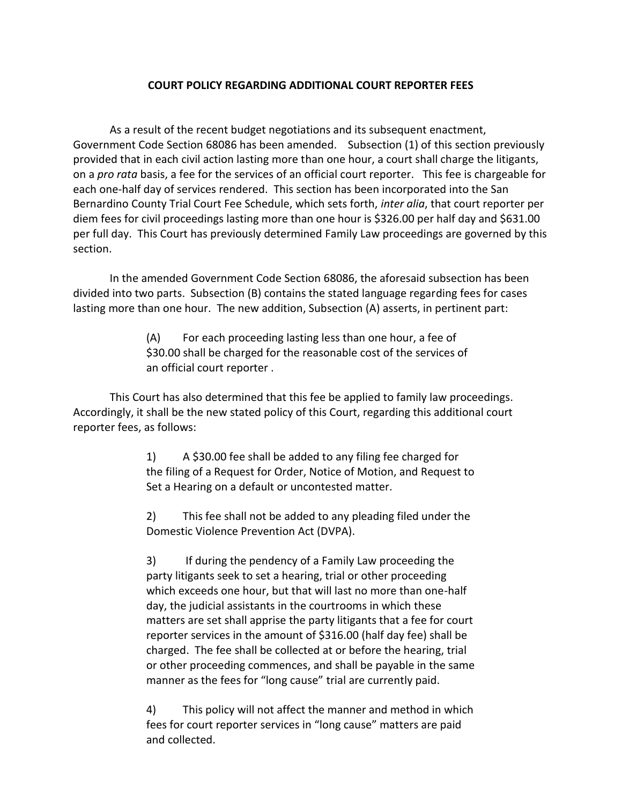## **COURT POLICY REGARDING ADDITIONAL COURT REPORTER FEES**

As a result of the recent budget negotiations and its subsequent enactment, Government Code Section 68086 has been amended. Subsection (1) of this section previously provided that in each civil action lasting more than one hour, a court shall charge the litigants, on a *pro rata* basis, a fee for the services of an official court reporter. This fee is chargeable for each one-half day of services rendered. This section has been incorporated into the San Bernardino County Trial Court Fee Schedule, which sets forth, *inter alia*, that court reporter per diem fees for civil proceedings lasting more than one hour is \$326.00 per half day and \$631.00 per full day. This Court has previously determined Family Law proceedings are governed by this section.

In the amended Government Code Section 68086, the aforesaid subsection has been divided into two parts. Subsection (B) contains the stated language regarding fees for cases lasting more than one hour. The new addition, Subsection (A) asserts, in pertinent part:

> (A) For each proceeding lasting less than one hour, a fee of \$30.00 shall be charged for the reasonable cost of the services of an official court reporter .

This Court has also determined that this fee be applied to family law proceedings. Accordingly, it shall be the new stated policy of this Court, regarding this additional court reporter fees, as follows:

> 1) A \$30.00 fee shall be added to any filing fee charged for the filing of a Request for Order, Notice of Motion, and Request to Set a Hearing on a default or uncontested matter.

2) This fee shall not be added to any pleading filed under the Domestic Violence Prevention Act (DVPA).

3) If during the pendency of a Family Law proceeding the party litigants seek to set a hearing, trial or other proceeding which exceeds one hour, but that will last no more than one-half day, the judicial assistants in the courtrooms in which these matters are set shall apprise the party litigants that a fee for court reporter services in the amount of \$316.00 (half day fee) shall be charged. The fee shall be collected at or before the hearing, trial or other proceeding commences, and shall be payable in the same manner as the fees for "long cause" trial are currently paid.

4) This policy will not affect the manner and method in which fees for court reporter services in "long cause" matters are paid and collected.